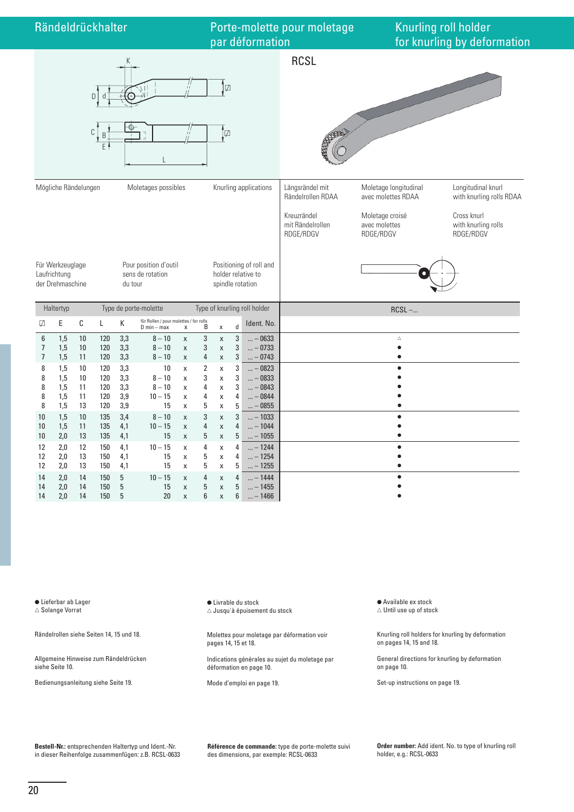

● Lieferbar ab Lager  $\triangle$  Solange Vorrat

Rändelrollen siehe Seiten 14, 15 und 18.

Allgemeine Hinweise zum Rändeldrücken siehe Seite 10.

Bedienungsanleitung siehe Seite 19.

Livrable du stock  $\triangle$  Jusqu'à épuisement du stock

Molettes pour moletage par déformation voir pages 14, 15 et 18.

Indications générales au sujet du moletage par déformation en page 10.

Mode d'emploi en page 19.

● Available ex stock  $\triangle$  Until use up of stock

Knurling roll holders for knurling by deformation on pages 14, 15 and 18.

General directions for knurling by deformation on page 10.

Set-up instructions on page 19.

**Bestell-Nr.:** entsprechenden Haltertyp und Ident.-Nr. in dieser Reihenfolge zusammenfügen: z.B. RCSL-0633 **Référence de commande:** type de porte-molette suivi des dimensions, par exemple: RCSL-0633

**Order number:** Add ident. No. to type of knurling roll holder, e.g.: RCSL-0633